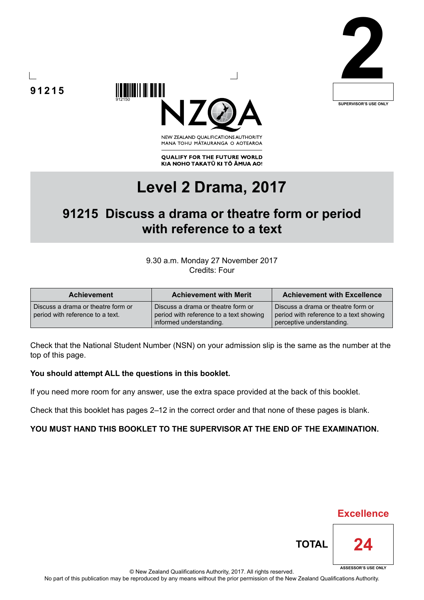





NEW ZEALAND OUALIFICATIONS AUTHORITY MANA TOHU MATAURANGA O AOTEAROA

**QUALIFY FOR THE FUTURE WORLD** KIA NOHO TAKATŪ KI TŌ ĀMUA AO!

# **Level 2 Drama, 2017**

## **91215 Discuss a drama or theatre form or period with reference to a text**

9.30 a.m. Monday 27 November 2017 Credits: Four

| <b>Achievement</b>                                                     | <b>Achievement with Merit</b>                                                                            | <b>Achievement with Excellence</b>                                                                         |
|------------------------------------------------------------------------|----------------------------------------------------------------------------------------------------------|------------------------------------------------------------------------------------------------------------|
| Discuss a drama or theatre form or<br>period with reference to a text. | Discuss a drama or theatre form or<br>period with reference to a text showing<br>informed understanding. | Discuss a drama or theatre form or<br>period with reference to a text showing<br>perceptive understanding. |

Check that the National Student Number (NSN) on your admission slip is the same as the number at the top of this page.

### **You should attempt ALL the questions in this booklet.**

If you need more room for any answer, use the extra space provided at the back of this booklet.

Check that this booklet has pages 2–12 in the correct order and that none of these pages is blank.

### **YOU MUST HAND THIS BOOKLET TO THE SUPERVISOR AT THE END OF THE EXAMINATION.**

**TOTAL**



**24**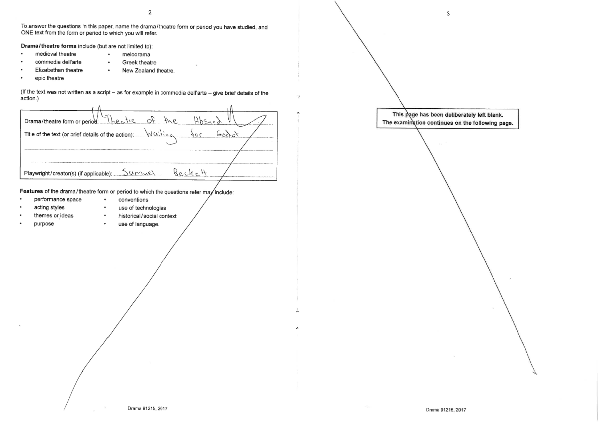$\overline{2}$ 

To answer the questions in this paper, name the drama/theatre form or period you have studied, and

action.)

 $\mathbf{3}$ 

ONE text from the form or period to which you will refer. Drama/theatre forms include (but are not limited to): medieval theatre melodrama  $\bullet$ commedia dell'arte **Greek theatre** Elizabethan theatre New Zealand theatre.  $\bullet$ epic theatre (If the text was not written as a script - as for example in commedia dell'arte - give brief details of the  $Hb$ Surd  $\phi$ Drama/theatre form or period:  $fve$ Theatre  $6000$ Title of the text (or brief details of the action): Waiting  $90<sup>c</sup>$ Beckett Sumvel Playwright/creator(s) (if applicable): Features of the drama/theatre form or period to which the questions refer may include: performance space  $\bullet$ conventions acting styles  $\bullet$ use of technologies themes or ideas historical/social context  $\bullet$  . purpose use of language.  $\bullet$ Drama 91215, 2017

This page has been deliberately left blank. The examination continues on the following page.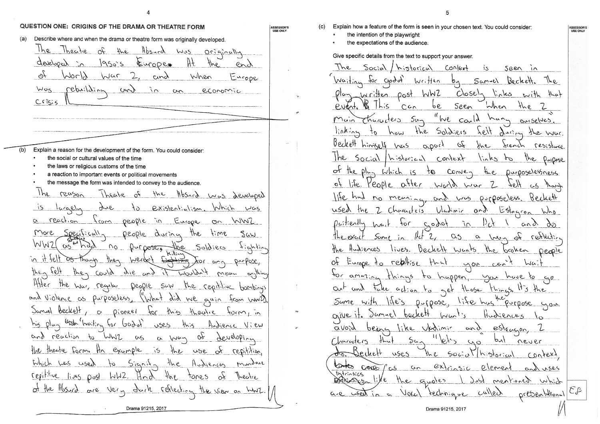QUESTION ONE: ORIGINS OF THE DRAMA OR THEATRE FORM Describe where and when the drama or theatre form was originally developed.  $(a)$ The Theorie of the  $H_{bscrd}$   $wus$ Originally  $19505$ developed  $\lambda$ Europeo H.  $en$  $\sqrt{6}$ WOOD  $\sqrt{u}$ When Europe cing rebuilding Worg cond  $\sum_{i=1}^{n}$ eronomic  $C_{\mathcal{D}}$ Crisis  $(b)$ Explain a reason for the development of the form. You could consider: the social or cultural values of the time the laws or religious customs of the time a reaction to important events or political movements the message the form was intended to convey to the audience  $J_{he}$ reason Hbsncd was developed Ibeatre  $\kappa$  $4/6$ - 15 existentialism. Which <u>larally</u> gno **VOCE** そう reaction <u>from people in Europe</u> on WWZ  $\alpha$ More  $Soeffical$ people during the time Saw WW21 as whad no purpose, the Soldiers in it felt as though Werdert they  $\frac{1}{2}$ <u>Durpose</u> the felt the could Wouldn't gib  $an\delta$  if meun Affer the way regular Deople SUW the repititive bombinys and violence as purposeless, "What did we guin from wwild Januel beckett for this theatre a pioneel  $\frac{1}{2}$ his plun with waiting for Godof USES Audience View and reaction to WWZ a wan  $09$  $\alpha$ developina the theatre form. Hr example ેંડ the use of repitition

Thursders Sun  $_{min}$ the Soldiers linking how Beckett himself has apack  $1he$  $Social$  historical Context  $\sigma$ plus Which is the  $\diamond$ life. Yeaple after world  $\sigma_{\mathcal{F}}$ used the Characters Duitiently  $6602$ wait for  $Hct2$ the Hudiences lives. Europe to relative  $Q^2$  $H - H$  $40<$  amoling happen.  $n \times 5$  $40$ take action to get those  $\alpha_{r}$ and Sume with life's give it  $\partial$ umnel beckett like Vadimir  $Q(0,9)$ bears  $54$ Characters Dechett  $USES$  $3\mu e$ ० ठ bastes code /  $Q_{\mathcal{D}}$ ່ເລ Intrinsics  $\forall$ ike the guotes DARK DR5 technique Vocal  $G_{1}e$  used in a

 $\sigma$ 

of the Hosurd are very durk reflection

lives post WWZ.

Which was used

repititive

Sianita

 $H \cup V$ 

Audiences

tones

 $\alpha$ 

The view on

murdone

Theatre

 $3he$ 

 $4/66$ 

Explain how a feature of the form is seen in your chosen text. You could consider:

 $-\rho$ ost

 $C G$ 

historical

Written

WWZ

be

the intention of the playwright

 $Sociol$ 

In ritten

ASSESSOR'S<br>USE ONLY

 $(c)$ 

The

Waiting

Puent

the expectations of the audience.

for craggy

 $\mathsf{h}$ is

**ASSESSOR'S** USE ONL'

Give specific details from the text to support your answer.

Context seen in is.  $Samul$ Beckett ৩১ lights  $C$  $o$ se $l<sub>n</sub>$ with Seen When  $4ke$ "We could hany  $GucSelVE5$ .  $4e$ daring the war.  $\mathcal{P}$ Scench Jue resistance links to the Puipose CONR  $H_{ee}$ Durposelessness War 761f meaning and was purposeless. Beckett Vladinir and  $L$ flagron  $\vert \lambda_{\ell} \rangle$  $\sqrt{2}$ and  $99^{\circ}$  $C<sub>2</sub>$ a han of reflection Beckell wants the broken people  $000$  $CA$  $\tau_{\text{bin}}$ Duroppe, lite has Purpose  $nnv$ Hudiences estencion. and pvl  $C_0$ never  $Sociof|histation$  $CDPEXY$  $ex|c|$ element NSRS mentioned which  $y_{\alpha\beta}$  $\omega$ lled presentational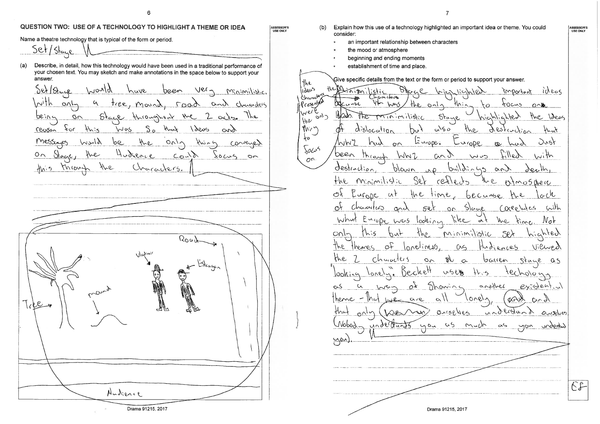

6

ASSESSOR'S<br>USE ONLY

QUESTION TWO: USE OF A TECHNOLOGY TO HIGHLIGHT A THEME OR IDEA

Explain how this use of a technology highlighted an important idea or theme. You could  $(b)$ consider: an important relationship between characters  $\bullet$ the mood or atmosphere beginning and ending moments establishment of time and place. Give specific details from the text or the form or period to support your answer. the ideus ideas inignilistic important lichated aracteca Mura P cesente  $0.45l$ لملان **Hr:**  $\mathcal{L}$  $40cm<sub>5</sub>$  $\triangle$  $O \cap \mathbb{R}$ TWei Halcador the Ideas TIAIMILIA fitane  $\omega_{\nu/2}$ 1 ਵਿੱਟ Une Mr<sup>u</sup> dislocation  $\alpha$ 50 Alstrul  $H_{ext}$ Europe. Just 'hihi  $\sqrt{0}$ been Through Lilled  $\sim$ ith WW7  $(20, 9)$ کس لہ  $O<sup>n</sup>$ destinction  $\alpha$ n 010174  $fhe$ Sex Minimilistic rex. mo5 dhe re ල∤ いし ut Ωł Characters Coceo  $W^{\prime}$ Slage es looking Whul  $1005$  $\mu_{\text{ke}}$  $\alpha$ the  $N \circ F$ Minimilistic  $C<sub>0</sub>$ his nter  $O_{\mathcal{F}}$ eliness The Viewed themes ences khe Churacters  $M$ bauen Stane  $\sim$  $\sigma$  $-0.5$ <u>looking</u>  $9001$ another  $ext{check}$ ⊙∿  $0.6$ RAY  $C' \sim \gamma$ understand tha  $O(10^{15})$  $\Delta$ obod undertants  $a5$ - 45  $00u$  $M_{\rm w}/m$ understad  $\frac{1}{2}$  $E$ Drama 91215, 2017

ASSESSOR'S<br>USE ONLY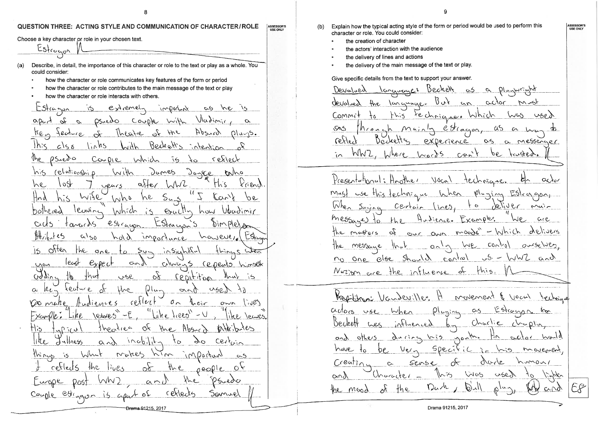$\mathbf{Q}$ 

#### QUESTION THREE: ACTING STYLE AND COMMUNICATION OF CHARACTER/ROLE ASSESSOR'S<br>USE ONLY

Choose a key character or role in your chosen text.

Estragon

Describe, in detail, the importance of this character or role to the text or play as a whole. You  $(a)$ could consider:

- how the character or role communicates key features of the form or period
- how the character or role contributes to the main message of the text or play
- how the character or role interacts with others.

 $LSk$ cason  $ex'_1$  center important  $C\rightarrow$  $he$ Vladimir Couple With apart  $\mathscr{P}$ OsuedO  $\alpha$  $\mathcal{L}$ Absurd  $ke_{\gamma}$  $lh$ stre  $\sqrt{6}$ HVE fecture  $01u$ Bechett links  $1h<$  $c/s$   $\delta$ intention  $\mathcal{N}_{\mathsf{Re}}$  $05$ uedo reflect  $Cov<sub>DP</sub>$ Which  $\sqrt{5}$ relationship  $\partial$ umes his With  $00000$  $\epsilon_0$ /20  $Q_{\tilde{c}}$  end  $1\sqrt{2}$  $a\$  $e$  $\circ$  $H\circ$ he. veurs  $7^{\prime\prime}$  $W_1$ ise  $\langle 0, 0 \rangle$ he  $1000$  $\rho$ e Hnd  $5<sub>w</sub>$ leaving Which Exactly how Ubadimir bothered  $\Delta$ estrayon Estangers tanceds aus Dimplet  $H\rightarrow$  $C_1$  50 however Estra とのタ importance often the one insights  $54 15$  $2$  $\frac{1}{2}$ least  $\alpha$ CIWUNS Cepento himself  $M<sub>0</sub>$  $\delta$ addine łP repitition USP hay TS.  $user$  $0$ lu $k_{i}$ keutur e  $\infty$ Une.  $\alpha \wedge \beta$  $\sigma_{\curvearrowright}$  $c$ extert Vomane  $\int u \, d\mathcal{C}$  $OWN$ ühe tiees" Example lesses  $\cup$  $Absoc$ خرج ا  $1\text{Me}_\mathcal{O}$ QX **th** the tlis  $0.770$  $||he|$ ullness  $Cerkin$  $16.11$  $Q'$  $\Delta t$  $\gamma$ <sup>O</sup> wakes important things ंऽ Whit MIN  $\sim$ 5  $\gamma_{\rm O}$ cetleds the lives neople  $\infty$ かと Furope Paredo  $D<sub>051</sub>$  $\alpha \cap U$ Couple Ctiggon is apa  $666$ Jemue Drama 91215, 2017

Explain how the typical acting style of the form or period would be used to perform this  $(b)$ character or role. You could consider:

- the creation of character
- the actors' interaction with the audience
- the delivery of lines and actions
- the delivery of the main message of the text or play.

Give specific details from the text to support your answer.

Languages Beckett Devalued  $\infty$ 5  $\alpha$ Plunwe  $\Lambda$   $\Lambda$ actor devalued the language. m ust  $\alpha$ techniques Which Commit  $\sqrt{5}$  $\cos \lambda$ estragen,  $505$ Nrone  $M$ uin ά5  $\infty$ Ō. reflect Dechettes experience messenger  $\alpha$  $\infty$  $WW2$ Where Words  $C$ an't  $\omega$  $\rho_{\varrho}$ Presentational: Hoother Vocal technique  $\alpha$ Pluring Esteggay  $M(4)$ When use this fechinic we  $Wh_{\rm c}$ 1,961 9(  $r^{\alpha}$  $Certair$  $Dunina$ messages ace  $10<sup>1</sup>$ delivers  $\infty$ the masters  $10000$  $Covf$   $QMn$  $\omega_{4}$  $O(tGg)$ Message  $\circ$   $\sim$ no one else should – 5۰  $C_0 \sim C_0$  $Cov<sub>f</sub>$ Nuzion are the influence of  $10$ Vaudeviller movement  $\bigcup_{\alpha\in\alpha}$  $E$ stranon.  $M_{univ}$  $\alpha$ utors  $C-5$  $USl$ **NOV** Charlie Dechet  $H$ luenced nonth. during Vis and Ho MN  $S$ Deci have move  $\dagger$  $C$ centine  $2072$ Sens \e\_  $\infty$ user Unaracter  $\sqrt{N}$ 65 and EP  $12a.$  $\mathcal{D}^{\mathcal{N}}$ the mood  $C\Omega$ 

ASSESSOR'S<br>USE ONLY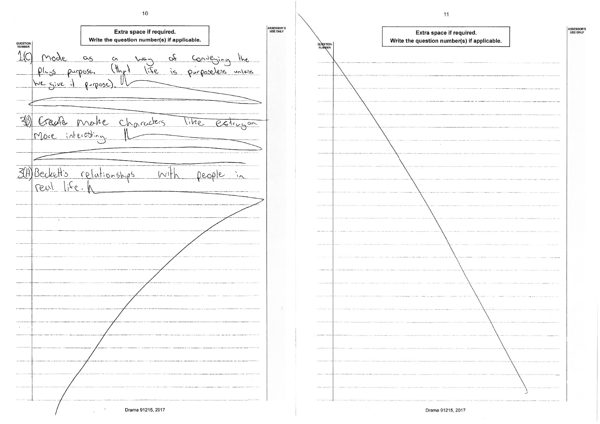$10$ 

| QUESTION<br>NUMBER |             |                    | Write the question number(s) if applicable. | Extra space if required. |                             |                                       |       |               |
|--------------------|-------------|--------------------|---------------------------------------------|--------------------------|-----------------------------|---------------------------------------|-------|---------------|
|                    | <u>Mode</u> | $\alpha$ s         | $\sim$                                      | $\sqrt{6}-$              |                             | <u>af Conveying</u><br>is purposeless |       | the           |
|                    |             | pluss purpose.     | $(H_{\lambda\mu})$                          | 927/                     |                             |                                       |       | $\frac{1}{2}$ |
|                    |             | We give it propose |                                             |                          |                             |                                       |       |               |
|                    |             |                    |                                             |                          |                             |                                       |       |               |
|                    |             |                    | Create make characters                      |                          |                             | vitre,                                |       | estrugon      |
|                    |             |                    |                                             |                          |                             |                                       |       |               |
|                    |             |                    |                                             |                          |                             |                                       |       |               |
|                    |             |                    | Beckett's relationships                     |                          | $\mathcal{N}^{\mathcal{C}}$ |                                       | eople | $\lambda$     |
| reul               |             | $1.5e$ .           |                                             |                          |                             |                                       |       |               |
|                    |             |                    |                                             |                          |                             |                                       |       |               |
|                    |             |                    |                                             |                          |                             |                                       |       |               |
|                    |             |                    |                                             |                          |                             |                                       |       |               |
|                    |             |                    |                                             |                          |                             |                                       |       |               |
|                    |             |                    |                                             |                          |                             |                                       |       |               |
|                    |             |                    |                                             |                          |                             |                                       |       |               |
|                    |             |                    |                                             |                          |                             |                                       |       |               |
|                    |             |                    |                                             |                          |                             |                                       |       |               |
|                    |             |                    |                                             |                          |                             |                                       |       |               |
|                    |             |                    |                                             |                          |                             |                                       |       |               |
|                    |             |                    |                                             |                          |                             |                                       |       |               |
|                    |             |                    |                                             |                          |                             |                                       |       |               |



Drama 91215, 2017

 $11$ 

| required.<br>pe <mark>r(s) if applicable.</mark> | ASSESSOR'S<br>USE ONLY |
|--------------------------------------------------|------------------------|
|                                                  |                        |
|                                                  |                        |
|                                                  |                        |
|                                                  |                        |
|                                                  |                        |
|                                                  |                        |
|                                                  |                        |
|                                                  |                        |
|                                                  |                        |
|                                                  |                        |
|                                                  |                        |
|                                                  |                        |
|                                                  |                        |
| g,                                               |                        |
|                                                  |                        |
|                                                  |                        |
|                                                  |                        |
|                                                  |                        |